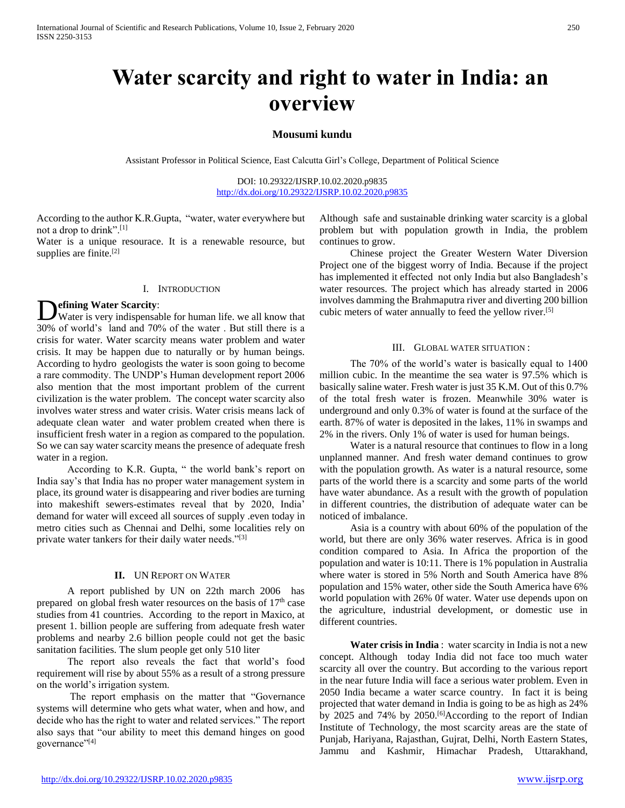# **Water scarcity and right to water in India: an overview**

## **Mousumi kundu**

Assistant Professor in Political Science, East Calcutta Girl's College, Department of Political Science

DOI: 10.29322/IJSRP.10.02.2020.p9835 <http://dx.doi.org/10.29322/IJSRP.10.02.2020.p9835>

According to the author K.R.Gupta, "water, water everywhere but not a drop to drink".[1]

Water is a unique resourace. It is a renewable resource, but supplies are finite.<sup>[2]</sup>

## I. INTRODUCTION

# **efining Water Scarcity**:

Water is very indispensable for human life. we all know that 30% of world's land and 70% of the water . But still there is a crisis for water. Water scarcity means water problem and water crisis. It may be happen due to naturally or by human beings. According to hydro geologists the water is soon going to become a rare commodity. The UNDP's Human development report 2006 also mention that the most important problem of the current civilization is the water problem. The concept water scarcity also involves water stress and water crisis. Water crisis means lack of adequate clean water and water problem created when there is insufficient fresh water in a region as compared to the population. So we can say water scarcity means the presence of adequate fresh water in a region.  $\overline{\mathbf{D}}$ 

 According to K.R. Gupta, " the world bank's report on India say's that India has no proper water management system in place, its ground water is disappearing and river bodies are turning into makeshift sewers-estimates reveal that by 2020, India' demand for water will exceed all sources of supply .even today in metro cities such as Chennai and Delhi, some localities rely on private water tankers for their daily water needs."<sup>[3]</sup>

## **II.** UN REPORT ON WATER

 A report published by UN on 22th march 2006 has prepared on global fresh water resources on the basis of  $17<sup>th</sup>$  case studies from 41 countries. According to the report in Maxico, at present 1. billion people are suffering from adequate fresh water problems and nearby 2.6 billion people could not get the basic sanitation facilities. The slum people get only 510 liter

 The report also reveals the fact that world's food requirement will rise by about 55% as a result of a strong pressure on the world's irrigation system.

 The report emphasis on the matter that "Governance systems will determine who gets what water, when and how, and decide who has the right to water and related services." The report also says that "our ability to meet this demand hinges on good governance"<sup>[4]</sup>

Although safe and sustainable drinking water scarcity is a global problem but with population growth in India, the problem continues to grow.

 Chinese project the Greater Western Water Diversion Project one of the biggest worry of India. Because if the project has implemented it effected not only India but also Bangladesh's water resources. The project which has already started in 2006 involves damming the Brahmaputra river and diverting 200 billion cubic meters of water annually to feed the yellow river.[5]

## III. GLOBAL WATER SITUATION :

 The 70% of the world's water is basically equal to 1400 million cubic. In the meantime the sea water is 97.5% which is basically saline water. Fresh water is just 35 K.M. Out of this 0.7% of the total fresh water is frozen. Meanwhile 30% water is underground and only 0.3% of water is found at the surface of the earth. 87% of water is deposited in the lakes, 11% in swamps and 2% in the rivers. Only 1% of water is used for human beings.

 Water is a natural resource that continues to flow in a long unplanned manner. And fresh water demand continues to grow with the population growth. As water is a natural resource, some parts of the world there is a scarcity and some parts of the world have water abundance. As a result with the growth of population in different countries, the distribution of adequate water can be noticed of imbalance.

 Asia is a country with about 60% of the population of the world, but there are only 36% water reserves. Africa is in good condition compared to Asia. In Africa the proportion of the population and water is 10:11. There is 1% population in Australia where water is stored in 5% North and South America have 8% population and 15% water, other side the South America have 6% world population with 26% 0f water. Water use depends upon on the agriculture, industrial development, or domestic use in different countries.

 **Water crisis in India** : water scarcity in India is not a new concept. Although today India did not face too much water scarcity all over the country. But according to the various report in the near future India will face a serious water problem. Even in 2050 India became a water scarce country. In fact it is being projected that water demand in India is going to be as high as 24% by 2025 and 74% by 2050.[6]According to the report of Indian Institute of Technology, the most scarcity areas are the state of Punjab, Hariyana, Rajasthan, Gujrat, Delhi, North Eastern States, Jammu and Kashmir, Himachar Pradesh, Uttarakhand,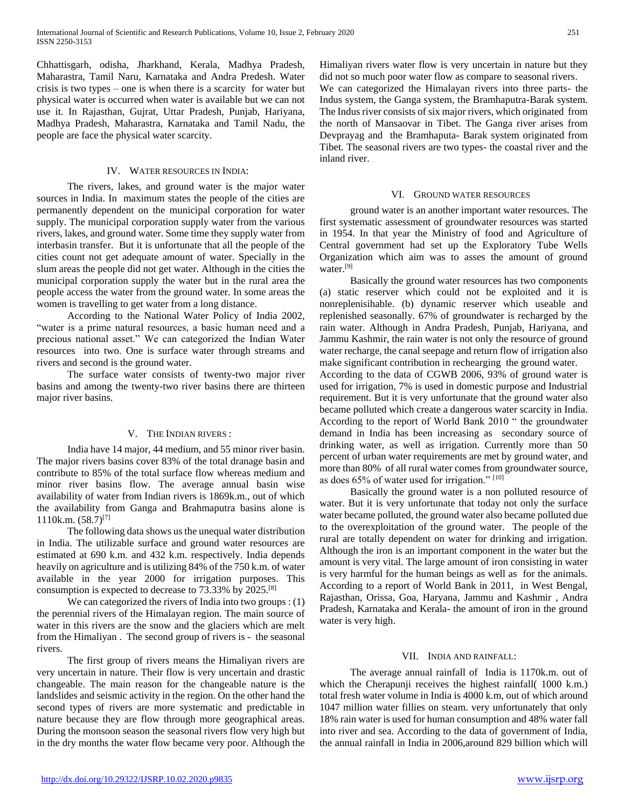Chhattisgarh, odisha, Jharkhand, Kerala, Madhya Pradesh, Maharastra, Tamil Naru, Karnataka and Andra Predesh. Water crisis is two types – one is when there is a scarcity for water but physical water is occurred when water is available but we can not use it. In Rajasthan, Gujrat, Uttar Pradesh, Punjab, Hariyana, Madhya Pradesh, Maharastra, Karnataka and Tamil Nadu, the people are face the physical water scarcity.

## IV. WATER RESOURCES IN INDIA:

 The rivers, lakes, and ground water is the major water sources in India. In maximum states the people of the cities are permanently dependent on the municipal corporation for water supply. The municipal corporation supply water from the various rivers, lakes, and ground water. Some time they supply water from interbasin transfer. But it is unfortunate that all the people of the cities count not get adequate amount of water. Specially in the slum areas the people did not get water. Although in the cities the municipal corporation supply the water but in the rural area the people access the water from the ground water. In some areas the women is travelling to get water from a long distance.

 According to the National Water Policy of India 2002, "water is a prime natural resources, a basic human need and a precious national asset." We can categorized the Indian Water resources into two. One is surface water through streams and rivers and second is the ground water.

 The surface water consists of twenty-two major river basins and among the twenty-two river basins there are thirteen major river basins.

#### V. THE INDIAN RIVERS :

 India have 14 major, 44 medium, and 55 minor river basin. The major rivers basins cover 83% of the total dranage basin and contribute to 85% of the total surface flow whereas medium and minor river basins flow. The average annual basin wise availability of water from Indian rivers is 1869k.m., out of which the availability from Ganga and Brahmaputra basins alone is 1110k.m.  $(58.7)^{[7]}$ 

 The following data shows us the unequal water distribution in India. The utilizable surface and ground water resources are estimated at 690 k.m. and 432 k.m. respectively. India depends heavily on agriculture and is utilizing 84% of the 750 k.m. of water available in the year 2000 for irrigation purposes. This consumption is expected to decrease to 73.33% by 2025.[8]

 We can categorized the rivers of India into two groups : (1) the perennial rivers of the Himalayan region. The main source of water in this rivers are the snow and the glaciers which are melt from the Himaliyan . The second group of rivers is - the seasonal rivers.

 The first group of rivers means the Himaliyan rivers are very uncertain in nature. Their flow is very uncertain and drastic changeable. The main reason for the changeable nature is the landslides and seismic activity in the region. On the other hand the second types of rivers are more systematic and predictable in nature because they are flow through more geographical areas. During the monsoon season the seasonal rivers flow very high but in the dry months the water flow became very poor. Although the

Himaliyan rivers water flow is very uncertain in nature but they did not so much poor water flow as compare to seasonal rivers. We can categorized the Himalayan rivers into three parts- the Indus system, the Ganga system, the Bramhaputra-Barak system. The Indus river consists of six major rivers, which originated from the north of Mansaovar in Tibet. The Ganga river arises from

Devprayag and the Bramhaputa- Barak system originated from Tibet. The seasonal rivers are two types- the coastal river and the inland river.

#### VI. GROUND WATER RESOURCES

 ground water is an another important water resources. The first systematic assessment of groundwater resources was started in 1954. In that year the Ministry of food and Agriculture of Central government had set up the Exploratory Tube Wells Organization which aim was to asses the amount of ground water.<sup>[9]</sup>

 Basically the ground water resources has two components (a) static reserver which could not be exploited and it is nonreplenisihable. (b) dynamic reserver which useable and replenished seasonally. 67% of groundwater is recharged by the rain water. Although in Andra Pradesh, Punjab, Hariyana, and Jammu Kashmir, the rain water is not only the resource of ground water recharge, the canal seepage and return flow of irrigation also make significant contribution in rechearging the ground water. According to the data of CGWB 2006, 93% of ground water is used for irrigation, 7% is used in domestic purpose and Industrial requirement. But it is very unfortunate that the ground water also became polluted which create a dangerous water scarcity in India. According to the report of World Bank 2010 " the groundwater demand in India has been increasing as secondary source of drinking water, as well as irrigation. Currently more than 50 percent of urban water requirements are met by ground water, and more than 80% of all rural water comes from groundwater source, as does 65% of water used for irrigation." [10]

 Basically the ground water is a non polluted resource of water. But it is very unfortunate that today not only the surface water became polluted, the ground water also became polluted due to the overexploitation of the ground water. The people of the rural are totally dependent on water for drinking and irrigation. Although the iron is an important component in the water but the amount is very vital. The large amount of iron consisting in water is very harmful for the human beings as well as for the animals. According to a report of World Bank in 2011, in West Bengal, Rajasthan, Orissa, Goa, Haryana, Jammu and Kashmir , Andra Pradesh, Karnataka and Kerala- the amount of iron in the ground water is very high.

#### VII. INDIA AND RAINFALL:

 The average annual rainfall of India is 1170k.m. out of which the Cherapunji receives the highest rainfall( 1000 k.m.) total fresh water volume in India is 4000 k.m, out of which around 1047 million water fillies on steam. very unfortunately that only 18% rain water is used for human consumption and 48% water fall into river and sea. According to the data of government of India, the annual rainfall in India in 2006,around 829 billion which will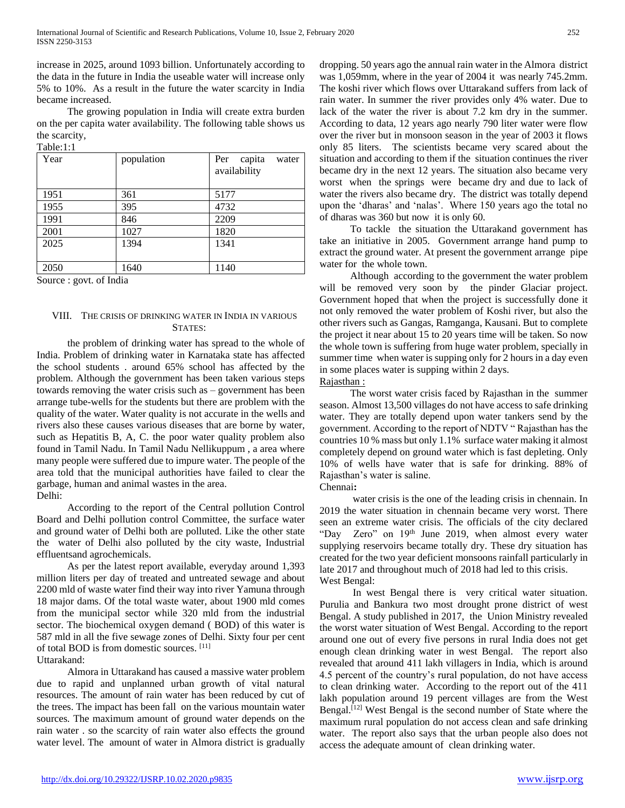increase in 2025, around 1093 billion. Unfortunately according to the data in the future in India the useable water will increase only 5% to 10%. As a result in the future the water scarcity in India became increased.

 The growing population in India will create extra burden on the per capita water availability. The following table shows us the scarcity,  $T_0$ bl $\sim$ 1.1

| Year | population | capita<br>Per<br>water<br>availability |
|------|------------|----------------------------------------|
| 1951 | 361        | 5177                                   |
| 1955 | 395        | 4732                                   |
| 1991 | 846        | 2209                                   |
| 2001 | 1027       | 1820                                   |
| 2025 | 1394       | 1341                                   |
|      |            |                                        |
| 2050 | 1640       | 1140                                   |

Source : govt. of India

# VIII. THE CRISIS OF DRINKING WATER IN INDIA IN VARIOUS STATES:

 the problem of drinking water has spread to the whole of India. Problem of drinking water in Karnataka state has affected the school students . around 65% school has affected by the problem. Although the government has been taken various steps towards removing the water crisis such as – government has been arrange tube-wells for the students but there are problem with the quality of the water. Water quality is not accurate in the wells and rivers also these causes various diseases that are borne by water, such as Hepatitis B, A, C. the poor water quality problem also found in Tamil Nadu. In Tamil Nadu Nellikuppum , a area where many people were suffered due to impure water. The people of the area told that the municipal authorities have failed to clear the garbage, human and animal wastes in the area. Delhi:

 According to the report of the Central pollution Control Board and Delhi pollution control Committee, the surface water and ground water of Delhi both are polluted. Like the other state the water of Delhi also polluted by the city waste, Industrial effluentsand agrochemicals.

 As per the latest report available, everyday around 1,393 million liters per day of treated and untreated sewage and about 2200 mld of waste water find their way into river Yamuna through 18 major dams. Of the total waste water, about 1900 mld comes from the municipal sector while 320 mld from the industrial sector. The biochemical oxygen demand ( BOD) of this water is 587 mld in all the five sewage zones of Delhi. Sixty four per cent of total BOD is from domestic sources. [11]

Uttarakand:

 Almora in Uttarakand has caused a massive water problem due to rapid and unplanned urban growth of vital natural resources. The amount of rain water has been reduced by cut of the trees. The impact has been fall on the various mountain water sources. The maximum amount of ground water depends on the rain water . so the scarcity of rain water also effects the ground water level. The amount of water in Almora district is gradually dropping. 50 years ago the annual rain water in the Almora district was 1,059mm, where in the year of 2004 it was nearly 745.2mm. The koshi river which flows over Uttarakand suffers from lack of rain water. In summer the river provides only 4% water. Due to lack of the water the river is about 7.2 km dry in the summer. According to data, 12 years ago nearly 790 liter water were flow over the river but in monsoon season in the year of 2003 it flows only 85 liters. The scientists became very scared about the situation and according to them if the situation continues the river became dry in the next 12 years. The situation also became very worst when the springs were became dry and due to lack of water the rivers also became dry. The district was totally depend upon the 'dharas' and 'nalas'. Where 150 years ago the total no of dharas was 360 but now it is only 60.

 To tackle the situation the Uttarakand government has take an initiative in 2005. Government arrange hand pump to extract the ground water. At present the government arrange pipe water for the whole town.

 Although according to the government the water problem will be removed very soon by the pinder Glaciar project. Government hoped that when the project is successfully done it not only removed the water problem of Koshi river, but also the other rivers such as Gangas, Ramganga, Kausani. But to complete the project it near about 15 to 20 years time will be taken. So now the whole town is suffering from huge water problem, specially in summer time when water is supping only for 2 hours in a day even in some places water is supping within 2 days. Rajasthan :

 The worst water crisis faced by Rajasthan in the summer season. Almost 13,500 villages do not have access to safe drinking water. They are totally depend upon water tankers send by the government. According to the report of NDTV " Rajasthan has the countries 10 % mass but only 1.1% surface water making it almost completely depend on ground water which is fast depleting. Only 10% of wells have water that is safe for drinking. 88% of Rajasthan's water is saline.

Chennai**:** 

 water crisis is the one of the leading crisis in chennain. In 2019 the water situation in chennain became very worst. There seen an extreme water crisis. The officials of the city declared "Day Zero" on 19<sup>th</sup> June 2019, when almost every water supplying reservoirs became totally dry. These dry situation has created for the two year deficient monsoons rainfall particularly in late 2017 and throughout much of 2018 had led to this crisis. West Bengal:

 In west Bengal there is very critical water situation. Purulia and Bankura two most drought prone district of west Bengal. A study published in 2017, the Union Ministry revealed the worst water situation of West Bengal. According to the report around one out of every five persons in rural India does not get enough clean drinking water in west Bengal. The report also revealed that around 411 lakh villagers in India, which is around 4.5 percent of the country's rural population, do not have access to clean drinking water. According to the report out of the 411 lakh population around 19 percent villages are from the West Bengal.<sup>[12]</sup> West Bengal is the second number of State where the maximum rural population do not access clean and safe drinking water. The report also says that the urban people also does not access the adequate amount of clean drinking water.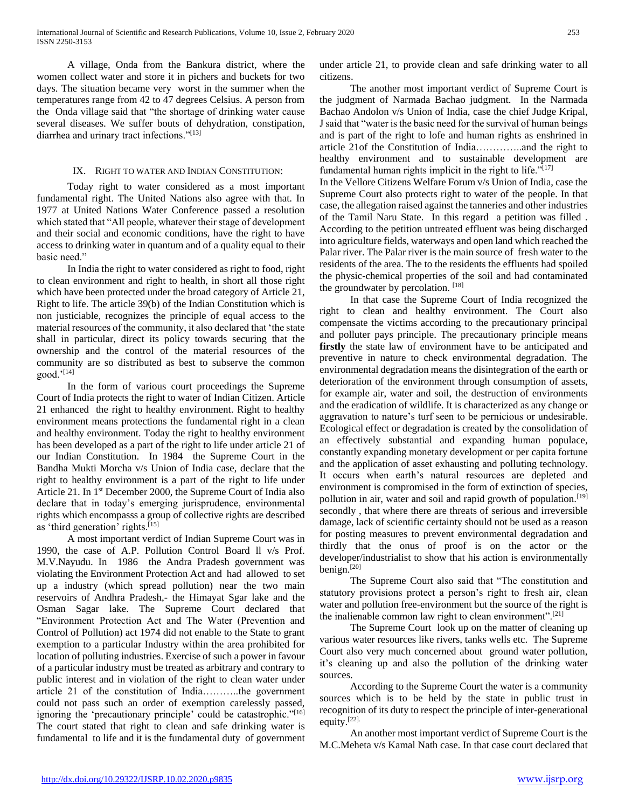A village, Onda from the Bankura district, where the women collect water and store it in pichers and buckets for two days. The situation became very worst in the summer when the temperatures range from 42 to 47 degrees Celsius. A person from the Onda village said that "the shortage of drinking water cause several diseases. We suffer bouts of dehydration, constipation, diarrhea and urinary tract infections."[13]

# IX. RIGHT TO WATER AND INDIAN CONSTITUTION:

 Today right to water considered as a most important fundamental right. The United Nations also agree with that. In 1977 at United Nations Water Conference passed a resolution which stated that "All people, whatever their stage of development and their social and economic conditions, have the right to have access to drinking water in quantum and of a quality equal to their basic need."

 In India the right to water considered as right to food, right to clean environment and right to health, in short all those right which have been protected under the broad category of Article 21, Right to life. The article 39(b) of the Indian Constitution which is non justiciable, recognizes the principle of equal access to the material resources of the community, it also declared that 'the state shall in particular, direct its policy towards securing that the ownership and the control of the material resources of the community are so distributed as best to subserve the common good.'[14]

 In the form of various court proceedings the Supreme Court of India protects the right to water of Indian Citizen. Article 21 enhanced the right to healthy environment. Right to healthy environment means protections the fundamental right in a clean and healthy environment. Today the right to healthy environment has been developed as a part of the right to life under article 21 of our Indian Constitution. In 1984 the Supreme Court in the Bandha Mukti Morcha v/s Union of India case, declare that the right to healthy environment is a part of the right to life under Article 21. In 1st December 2000, the Supreme Court of India also declare that in today's emerging jurisprudence, environmental rights which encompasss a group of collective rights are described as 'third generation' rights.[15]

 A most important verdict of Indian Supreme Court was in 1990, the case of A.P. Pollution Control Board ll v/s Prof. M.V.Nayudu. In 1986 the Andra Pradesh government was violating the Environment Protection Act and had allowed to set up a industry (which spread pollution) near the two main reservoirs of Andhra Pradesh,- the Himayat Sgar lake and the Osman Sagar lake. The Supreme Court declared that "Environment Protection Act and The Water (Prevention and Control of Pollution) act 1974 did not enable to the State to grant exemption to a particular Industry within the area prohibited for location of polluting industries. Exercise of such a power in favour of a particular industry must be treated as arbitrary and contrary to public interest and in violation of the right to clean water under article 21 of the constitution of India………..the government could not pass such an order of exemption carelessly passed, ignoring the 'precautionary principle' could be catastrophic."<sup>[16]</sup> The court stated that right to clean and safe drinking water is fundamental to life and it is the fundamental duty of government

under article 21, to provide clean and safe drinking water to all citizens.

 The another most important verdict of Supreme Court is the judgment of Narmada Bachao judgment. In the Narmada Bachao Andolon v/s Union of India, case the chief Judge Kripal, J said that "water is the basic need for the survival of human beings and is part of the right to lofe and human rights as enshrined in article 21of the Constitution of India…………..and the right to healthy environment and to sustainable development are fundamental human rights implicit in the right to life." $[17]$ 

In the Vellore Citizens Welfare Forum v/s Union of India, case the Supreme Court also protects right to water of the people. In that case, the allegation raised against the tanneries and other industries of the Tamil Naru State. In this regard a petition was filled . According to the petition untreated effluent was being discharged into agriculture fields, waterways and open land which reached the Palar river. The Palar river is the main source of fresh water to the residents of the area. The to the residents the effluents had spoiled the physic-chemical properties of the soil and had contaminated the groundwater by percolation.  $[18]$ 

 In that case the Supreme Court of India recognized the right to clean and healthy environment. The Court also compensate the victims according to the precautionary principal and polluter pays principle. The precautionary principle means **firstly** the state law of environment have to be anticipated and preventive in nature to check environmental degradation. The environmental degradation means the disintegration of the earth or deterioration of the environment through consumption of assets, for example air, water and soil, the destruction of environments and the eradication of wildlife. It is characterized as any change or aggravation to nature's turf seen to be pernicious or undesirable. Ecological effect or degradation is created by the consolidation of an effectively substantial and expanding human populace, constantly expanding monetary development or per capita fortune and the application of asset exhausting and polluting technology. It occurs when earth's natural resources are depleted and environment is compromised in the form of extinction of species, pollution in air, water and soil and rapid growth of population.<sup>[19]</sup> secondly , that where there are threats of serious and irreversible damage, lack of scientific certainty should not be used as a reason for posting measures to prevent environmental degradation and thirdly that the onus of proof is on the actor or the developer/industrialist to show that his action is environmentally benign.[20]

 The Supreme Court also said that "The constitution and statutory provisions protect a person's right to fresh air, clean water and pollution free-environment but the source of the right is the inalienable common law right to clean environment".<sup>[21]</sup>

 The Supreme Court look up on the matter of cleaning up various water resources like rivers, tanks wells etc. The Supreme Court also very much concerned about ground water pollution, it's cleaning up and also the pollution of the drinking water sources.

 According to the Supreme Court the water is a community sources which is to be held by the state in public trust in recognition of its duty to respect the principle of inter-generational equity.[22].

 An another most important verdict of Supreme Court is the M.C.Meheta v/s Kamal Nath case. In that case court declared that